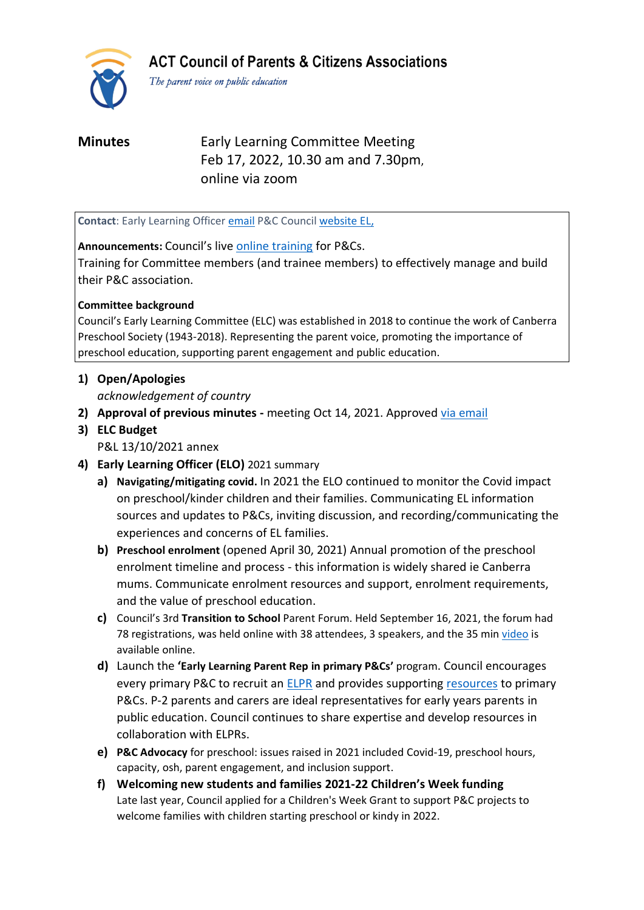**ACT Council of Parents & Citizens Associations** 



The parent voice on public education

**Minutes** Early Learning Committee Meeting Feb 17, 2022, 10.30 am and 7.30pm, online via zoom

**Contact**: Early Learning Officer [email](mailto:earlylearning@actparents.org.au) P&C Council [website EL,](https://www.actparents.org.au/index.php/early-learning)

# **Announcements:** Council's live online [training](https://www.actparents.org.au/index.php/help-for-p-cs/training#Grow) for P&Cs.

Training for Committee members (and trainee members) to effectively manage and build their P&C association.

# **Committee background**

Council's Early Learning Committee (ELC) was established in 2018 to continue the work of Canberra Preschool Society (1943-2018). Representing the parent voice, promoting the importance of preschool education, supporting parent engagement and public education.

# **1) Open/Apologies**

*acknowledgement of country*

- **2) Approval of previous minutes -** meeting Oct 14, 2021. Approved [via email](https://www.actparents.org.au/index.php/component/k2/item/394-early-learning-subcommittee-meeting-summaries?highlight=WyJtaW51dGVzIiwibWludXRlIiwibWludXRlZCJd)
- **3) ELC Budget**

P&L 13/10/2021 annex

- **4) Early Learning Officer (ELO)** 2021 summary
	- **a) Navigating/mitigating covid.** In 2021 the ELO continued to monitor the Covid impact on preschool/kinder children and their families. Communicating EL information sources and updates to P&Cs, inviting discussion, and recording/communicating the experiences and concerns of EL families.
	- **b) Preschool enrolment** (opened April 30, 2021) Annual promotion of the preschool enrolment timeline and process - this information is widely shared ie Canberra mums. Communicate enrolment resources and support, enrolment requirements, and the value of preschool education.
	- **c)** Council's 3rd **Transition to School** Parent Forum. Held September 16, 2021, the forum had 78 registrations, was held online with 38 attendees, 3 speakers, and the 35 min [video](https://www.youtube.com/watch?v=VtUoNgoAbgI) is available online.
	- **d)** Launch the **'Early Learning Parent Rep in primary P&Cs'** program. Council encourages every primary P&C to recruit an [ELPR](https://www.actparents.org.au/images/ParentActionT32021_FinalWeb.pdf) and provides supportin[g resources](https://www.actparents.org.au/index.php/early-learning/information-for-p-cs) to primary P&Cs. P-2 parents and carers are ideal representatives for early years parents in public education. Council continues to share expertise and develop resources in collaboration with ELPRs.
	- **e) P&C Advocacy** for preschool: issues raised in 2021 included Covid-19, preschool hours, capacity, osh, parent engagement, and inclusion support.
	- **f) Welcoming new students and families 2021-22 Children's Week funding**  Late last year, Council applied for a Children's Week Grant to support P&C projects to welcome families with children starting preschool or kindy in 2022.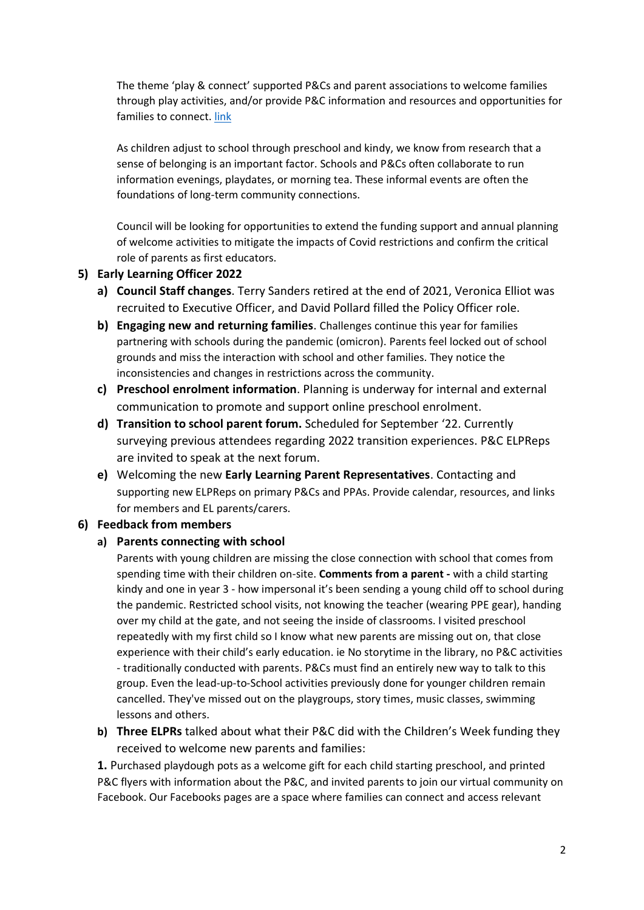The theme 'play & connect' supported P&Cs and parent associations to welcome families through play activities, and/or provide P&C information and resources and opportunities for families to connect. [link](https://www.actparents.org.au/index.php/news1/publications/item/135)

As children adjust to school through preschool and kindy, we know from research that a sense of belonging is an important factor. Schools and P&Cs often collaborate to run information evenings, playdates, or morning tea. These informal events are often the foundations of long-term community connections.

Council will be looking for opportunities to extend the funding support and annual planning of welcome activities to mitigate the impacts of Covid restrictions and confirm the critical role of parents as first educators.

### **5) Early Learning Officer 2022**

- **a) Council Staff changes**. Terry Sanders retired at the end of 2021, Veronica Elliot was recruited to Executive Officer, and David Pollard filled the Policy Officer role.
- **b) Engaging new and returning families**. Challenges continue this year for families partnering with schools during the pandemic (omicron). Parents feel locked out of school grounds and miss the interaction with school and other families. They notice the inconsistencies and changes in restrictions across the community.
- **c) Preschool enrolment information**. Planning is underway for internal and external communication to promote and support online preschool enrolment.
- **d) Transition to school parent forum.** Scheduled for September '22. Currently surveying previous attendees regarding 2022 transition experiences. P&C ELPReps are invited to speak at the next forum.
- **e)** Welcoming the new **Early Learning Parent Representatives**. Contacting and supporting new ELPReps on primary P&Cs and PPAs. Provide calendar, resources, and links for members and EL parents/carers.

# **6) Feedback from members**

#### **a) Parents connecting with school**

Parents with young children are missing the close connection with school that comes from spending time with their children on-site. **Comments from a parent -** with a child starting kindy and one in year 3 - how impersonal it's been sending a young child off to school during the pandemic. Restricted school visits, not knowing the teacher (wearing PPE gear), handing over my child at the gate, and not seeing the inside of classrooms. I visited preschool repeatedly with my first child so I know what new parents are missing out on, that close experience with their child's early education. ie No storytime in the library, no P&C activities - traditionally conducted with parents. P&Cs must find an entirely new way to talk to this group. Even the lead-up-to-School activities previously done for younger children remain cancelled. They've missed out on the playgroups, story times, music classes, swimming lessons and others.

**b) Three ELPRs** talked about what their P&C did with the Children's Week funding they received to welcome new parents and families:

**1.** Purchased playdough pots as a welcome gift for each child starting preschool, and printed P&C flyers with information about the P&C, and invited parents to join our virtual community on Facebook. Our Facebooks pages are a space where families can connect and access relevant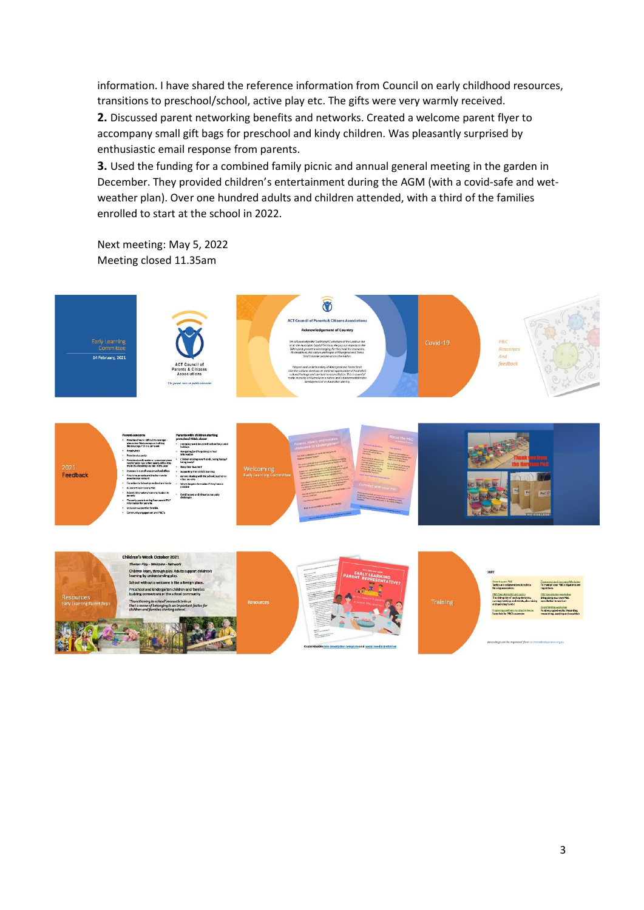information. I have shared the reference information from Council on early childhood resources, transitions to preschool/school, active play etc. The gifts were very warmly received.

**2.** Discussed parent networking benefits and networks. Created a welcome parent flyer to accompany small gift bags for preschool and kindy children. Was pleasantly surprised by enthusiastic email response from parents.

**3.** Used the funding for a combined family picnic and annual general meeting in the garden in December. They provided children's entertainment during the AGM (with a covid-safe and wetweather plan). Over one hundred adults and children attended, with a third of the families enrolled to start at the school in 2022.

Next meeting: May 5, 2022 Meeting closed 11.35am